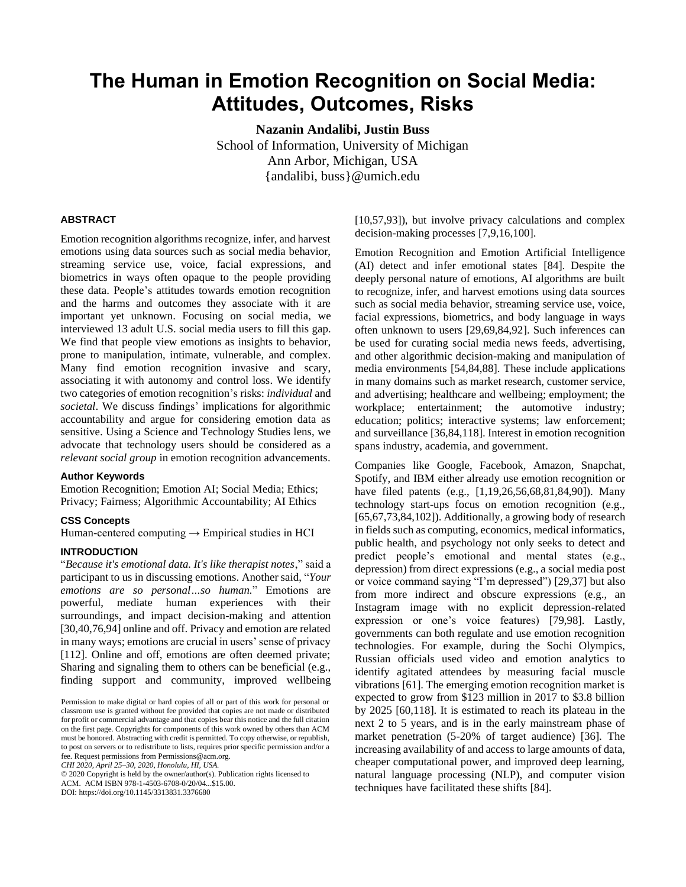# **The Human in Emotion Recognition on Social Media: Attitudes, Outcomes, Risks**

**Nazanin Andalibi, Justin Buss**

School of Information, University of Michigan Ann Arbor, Michigan, USA {andalibi, buss}@umich.edu

#### **ABSTRACT**

Emotion recognition algorithms recognize, infer, and harvest emotions using data sources such as social media behavior, streaming service use, voice, facial expressions, and biometrics in ways often opaque to the people providing these data. People's attitudes towards emotion recognition and the harms and outcomes they associate with it are important yet unknown. Focusing on social media, we interviewed 13 adult U.S. social media users to fill this gap. We find that people view emotions as insights to behavior, prone to manipulation, intimate, vulnerable, and complex. Many find emotion recognition invasive and scary, associating it with autonomy and control loss. We identify two categories of emotion recognition's risks: *individual* and *societal*. We discuss findings' implications for algorithmic accountability and argue for considering emotion data as sensitive. Using a Science and Technology Studies lens, we advocate that technology users should be considered as a *relevant social group* in emotion recognition advancements.

#### **Author Keywords**

Emotion Recognition; Emotion AI; Social Media; Ethics; Privacy; Fairness; Algorithmic Accountability; AI Ethics

#### **CSS Concepts**

Human-centered computing  $\rightarrow$  Empirical studies in HCI

#### **INTRODUCTION**

"*Because it's emotional data. It's like therapist notes*," said a participant to us in discussing emotions. Another said, "*Your emotions are so personal…so human.*" Emotions are powerful, mediate human experiences with their surroundings, and impact decision-making and attention [30,40,76,94] online and off. Privacy and emotion are related in many ways; emotions are crucial in users' sense of privacy [112]. Online and off, emotions are often deemed private; Sharing and signaling them to others can be beneficial (e.g., finding support and community, improved wellbeing

*CHI 2020, April 25–30, 2020, Honolulu, HI, USA.*

© 2020 Copyright is held by the owner/author(s). Publication rights licensed to

ACM. ACM ISBN 978-1-4503-6708-0/20/04...\$15.00.

DOI: https://doi.org/10.1145/3313831.3376680

[10,57,93]), but involve privacy calculations and complex decision-making processes [7,9,16,100].

Emotion Recognition and Emotion Artificial Intelligence (AI) detect and infer emotional states [84]. Despite the deeply personal nature of emotions, AI algorithms are built to recognize, infer, and harvest emotions using data sources such as social media behavior, streaming service use, voice, facial expressions, biometrics, and body language in ways often unknown to users [29,69,84,92]. Such inferences can be used for curating social media news feeds, advertising, and other algorithmic decision-making and manipulation of media environments [54,84,88]. These include applications in many domains such as market research, customer service, and advertising; healthcare and wellbeing; employment; the workplace; entertainment; the automotive industry; education; politics; interactive systems; law enforcement; and surveillance [36,84,118]. Interest in emotion recognition spans industry, academia, and government.

Companies like Google, Facebook, Amazon, Snapchat, Spotify, and IBM either already use emotion recognition or have filed patents (e.g., [1,19,26,56,68,81,84,90]). Many technology start-ups focus on emotion recognition (e.g., [65,67,73,84,102]). Additionally, a growing body of research in fields such as computing, economics, medical informatics, public health, and psychology not only seeks to detect and predict people's emotional and mental states (e.g., depression) from direct expressions (e.g., a social media post or voice command saying "I'm depressed") [29,37] but also from more indirect and obscure expressions (e.g., an Instagram image with no explicit depression-related expression or one's voice features) [79,98]. Lastly, governments can both regulate and use emotion recognition technologies. For example, during the Sochi Olympics, Russian officials used video and emotion analytics to identify agitated attendees by measuring facial muscle vibrations [61]. The emerging emotion recognition market is expected to grow from \$123 million in 2017 to \$3.8 billion by 2025 [60,118]. It is estimated to reach its plateau in the next 2 to 5 years, and is in the early mainstream phase of market penetration (5-20% of target audience) [36]. The increasing availability of and access to large amounts of data, cheaper computational power, and improved deep learning, natural language processing (NLP), and computer vision techniques have facilitated these shifts [84].

Permission to make digital or hard copies of all or part of this work for personal or classroom use is granted without fee provided that copies are not made or distributed for profit or commercial advantage and that copies bear this notice and the full citation on the first page. Copyrights for components of this work owned by others than ACM must be honored. Abstracting with credit is permitted. To copy otherwise, or republish, to post on servers or to redistribute to lists, requires prior specific permission and/or a fee. Request permissions from Permissions@acm.org.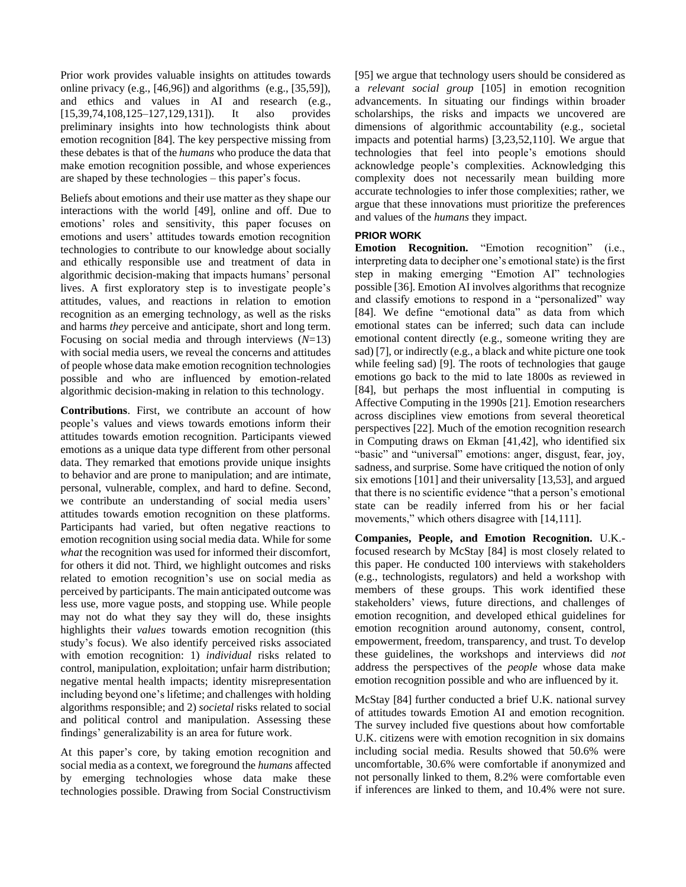Prior work provides valuable insights on attitudes towards online privacy (e.g.,  $[46,96]$ ) and algorithms (e.g.,  $[35,59]$ ), and ethics and values in AI and research (e.g., [15,39,74,108,125–127,129,131]). It also provides preliminary insights into how technologists think about emotion recognition [84]. The key perspective missing from these debates is that of the *humans* who produce the data that make emotion recognition possible, and whose experiences are shaped by these technologies – this paper's focus.

Beliefs about emotions and their use matter as they shape our interactions with the world [49], online and off. Due to emotions' roles and sensitivity, this paper focuses on emotions and users' attitudes towards emotion recognition technologies to contribute to our knowledge about socially and ethically responsible use and treatment of data in algorithmic decision-making that impacts humans' personal lives. A first exploratory step is to investigate people's attitudes, values, and reactions in relation to emotion recognition as an emerging technology, as well as the risks and harms *they* perceive and anticipate, short and long term. Focusing on social media and through interviews (*N*=13) with social media users, we reveal the concerns and attitudes of people whose data make emotion recognition technologies possible and who are influenced by emotion-related algorithmic decision-making in relation to this technology.

**Contributions**. First, we contribute an account of how people's values and views towards emotions inform their attitudes towards emotion recognition. Participants viewed emotions as a unique data type different from other personal data. They remarked that emotions provide unique insights to behavior and are prone to manipulation; and are intimate, personal, vulnerable, complex, and hard to define. Second, we contribute an understanding of social media users' attitudes towards emotion recognition on these platforms. Participants had varied, but often negative reactions to emotion recognition using social media data. While for some *what* the recognition was used for informed their discomfort, for others it did not. Third, we highlight outcomes and risks related to emotion recognition's use on social media as perceived by participants. The main anticipated outcome was less use, more vague posts, and stopping use. While people may not do what they say they will do, these insights highlights their *values* towards emotion recognition (this study's focus). We also identify perceived risks associated with emotion recognition: 1) *individual* risks related to control, manipulation, exploitation; unfair harm distribution; negative mental health impacts; identity misrepresentation including beyond one's lifetime; and challenges with holding algorithms responsible; and 2) *societal* risks related to social and political control and manipulation. Assessing these findings' generalizability is an area for future work.

At this paper's core, by taking emotion recognition and social media as a context, we foreground the *humans* affected by emerging technologies whose data make these technologies possible. Drawing from Social Constructivism [95] we argue that technology users should be considered as a *relevant social group* [105] in emotion recognition advancements. In situating our findings within broader scholarships, the risks and impacts we uncovered are dimensions of algorithmic accountability (e.g., societal impacts and potential harms) [3,23,52,110]. We argue that technologies that feel into people's emotions should acknowledge people's complexities. Acknowledging this complexity does not necessarily mean building more accurate technologies to infer those complexities; rather, we argue that these innovations must prioritize the preferences and values of the *humans* they impact.

## **PRIOR WORK**

**Emotion Recognition.** "Emotion recognition" (i.e., interpreting data to decipher one's emotional state) is the first step in making emerging "Emotion AI" technologies possible [36]. Emotion AI involves algorithms that recognize and classify emotions to respond in a "personalized" way [84]. We define "emotional data" as data from which emotional states can be inferred; such data can include emotional content directly (e.g., someone writing they are sad) [7], or indirectly (e.g., a black and white picture one took while feeling sad) [9]. The roots of technologies that gauge emotions go back to the mid to late 1800s as reviewed in [84], but perhaps the most influential in computing is Affective Computing in the 1990s [21]. Emotion researchers across disciplines view emotions from several theoretical perspectives [22]. Much of the emotion recognition research in Computing draws on Ekman [41,42], who identified six "basic" and "universal" emotions: anger, disgust, fear, joy, sadness, and surprise. Some have critiqued the notion of only six emotions [101] and their universality [13,53], and argued that there is no scientific evidence "that a person's emotional state can be readily inferred from his or her facial movements," which others disagree with [14,111].

**Companies, People, and Emotion Recognition.** U.K. focused research by McStay [84] is most closely related to this paper. He conducted 100 interviews with stakeholders (e.g., technologists, regulators) and held a workshop with members of these groups. This work identified these stakeholders' views, future directions, and challenges of emotion recognition, and developed ethical guidelines for emotion recognition around autonomy, consent, control, empowerment, freedom, transparency, and trust*.* To develop these guidelines, the workshops and interviews did *not* address the perspectives of the *people* whose data make emotion recognition possible and who are influenced by it.

McStay [84] further conducted a brief U.K. national survey of attitudes towards Emotion AI and emotion recognition. The survey included five questions about how comfortable U.K. citizens were with emotion recognition in six domains including social media. Results showed that 50.6% were uncomfortable, 30.6% were comfortable if anonymized and not personally linked to them, 8.2% were comfortable even if inferences are linked to them, and 10.4% were not sure.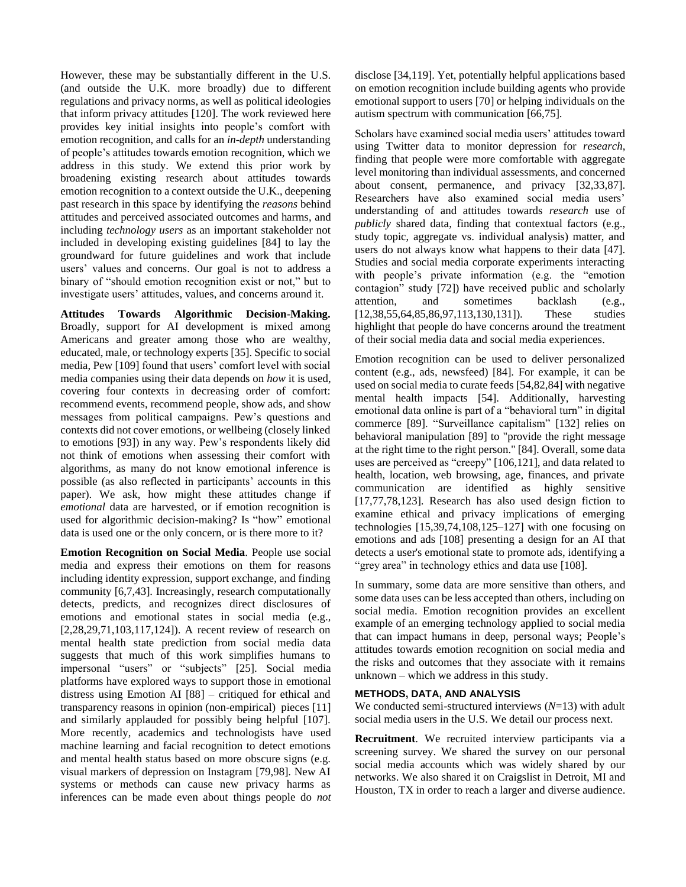However, these may be substantially different in the U.S. (and outside the U.K. more broadly) due to different regulations and privacy norms, as well as political ideologies that inform privacy attitudes [120]. The work reviewed here provides key initial insights into people's comfort with emotion recognition, and calls for an *in-depth* understanding of people's attitudes towards emotion recognition, which we address in this study. We extend this prior work by broadening existing research about attitudes towards emotion recognition to a context outside the U.K., deepening past research in this space by identifying the *reasons* behind attitudes and perceived associated outcomes and harms, and including *technology users* as an important stakeholder not included in developing existing guidelines [84] to lay the groundward for future guidelines and work that include users' values and concerns. Our goal is not to address a binary of "should emotion recognition exist or not," but to investigate users' attitudes, values, and concerns around it.

**Attitudes Towards Algorithmic Decision-Making.**  Broadly, support for AI development is mixed among Americans and greater among those who are wealthy, educated, male, or technology experts [35]. Specific to social media, Pew [109] found that users' comfort level with social media companies using their data depends on *how* it is used, covering four contexts in decreasing order of comfort: recommend events, recommend people, show ads, and show messages from political campaigns. Pew's questions and contexts did not cover emotions, or wellbeing (closely linked to emotions [93]) in any way. Pew's respondents likely did not think of emotions when assessing their comfort with algorithms, as many do not know emotional inference is possible (as also reflected in participants' accounts in this paper). We ask, how might these attitudes change if *emotional* data are harvested, or if emotion recognition is used for algorithmic decision-making? Is "how" emotional data is used one or the only concern, or is there more to it?

**Emotion Recognition on Social Media**. People use social media and express their emotions on them for reasons including identity expression, support exchange, and finding community [6,7,43]. Increasingly, research computationally detects, predicts, and recognizes direct disclosures of emotions and emotional states in social media (e.g., [2,28,29,71,103,117,124]). A recent review of research on mental health state prediction from social media data suggests that much of this work simplifies humans to impersonal "users" or "subjects" [25]. Social media platforms have explored ways to support those in emotional distress using Emotion AI [88] – critiqued for ethical and transparency reasons in opinion (non-empirical) pieces [11] and similarly applauded for possibly being helpful [107]. More recently, academics and technologists have used machine learning and facial recognition to detect emotions and mental health status based on more obscure signs (e.g. visual markers of depression on Instagram [79,98]. New AI systems or methods can cause new privacy harms as inferences can be made even about things people do *not* disclose [34,119]. Yet, potentially helpful applications based on emotion recognition include building agents who provide emotional support to users [70] or helping individuals on the autism spectrum with communication [66,75].

Scholars have examined social media users' attitudes toward using Twitter data to monitor depression for *research*, finding that people were more comfortable with aggregate level monitoring than individual assessments, and concerned about consent, permanence, and privacy [32,33,87]. Researchers have also examined social media users' understanding of and attitudes towards *research* use of *publicly* shared data, finding that contextual factors (e.g., study topic, aggregate vs. individual analysis) matter, and users do not always know what happens to their data [47]. Studies and social media corporate experiments interacting with people's private information (e.g. the "emotion contagion" study [72]) have received public and scholarly attention, and sometimes backlash (e.g., [12,38,55,64,85,86,97,113,130,131]). These studies highlight that people do have concerns around the treatment of their social media data and social media experiences.

Emotion recognition can be used to deliver personalized content (e.g., ads, newsfeed) [84]. For example, it can be used on social media to curate feeds [54,82,84] with negative mental health impacts [54]. Additionally, harvesting emotional data online is part of a "behavioral turn" in digital commerce [89]. "Surveillance capitalism" [132] relies on behavioral manipulation [89] to "provide the right message at the right time to the right person." [84]. Overall, some data uses are perceived as "creepy" [106,121], and data related to health, location, web browsing, age, finances, and private communication are identified as highly sensitive [17,77,78,123]. Research has also used design fiction to examine ethical and privacy implications of emerging technologies  $[15,39,74,108,125-127]$  with one focusing on emotions and ads [108] presenting a design for an AI that detects a user's emotional state to promote ads, identifying a "grey area" in technology ethics and data use [108].

In summary, some data are more sensitive than others, and some data uses can be less accepted than others, including on social media. Emotion recognition provides an excellent example of an emerging technology applied to social media that can impact humans in deep, personal ways; People's attitudes towards emotion recognition on social media and the risks and outcomes that they associate with it remains unknown – which we address in this study.

### **METHODS, DATA, AND ANALYSIS**

We conducted semi-structured interviews (*N*=13) with adult social media users in the U.S. We detail our process next.

**Recruitment**. We recruited interview participants via a screening survey. We shared the survey on our personal social media accounts which was widely shared by our networks. We also shared it on Craigslist in Detroit, MI and Houston, TX in order to reach a larger and diverse audience.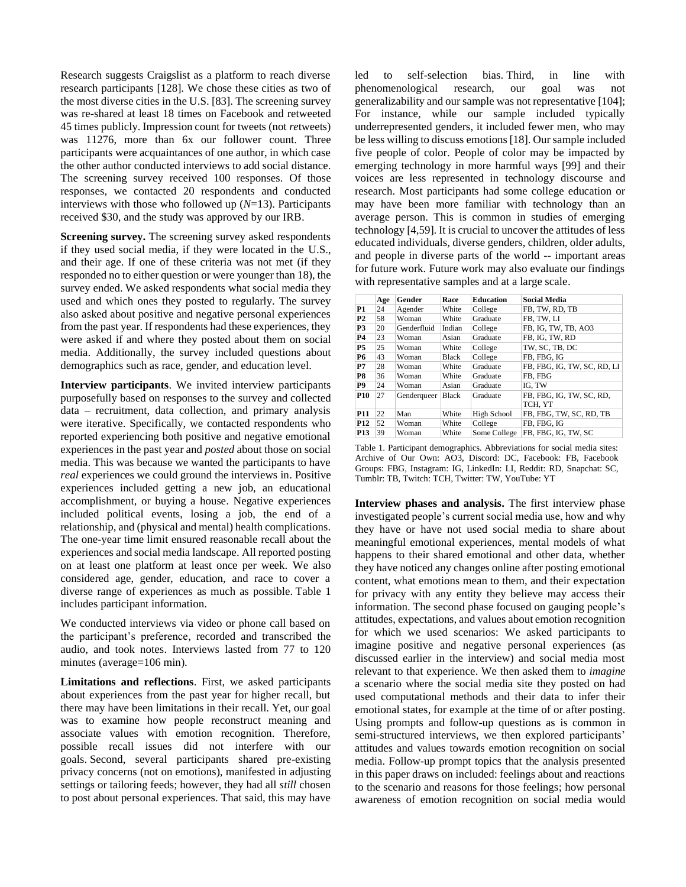Research suggests Craigslist as a platform to reach diverse research participants [128]. We chose these cities as two of the most diverse cities in the U.S. [83]. The screening survey was re-shared at least 18 times on Facebook and retweeted 45 times publicly. Impression count for tweets (not *re*tweets) was 11276, more than 6x our follower count. Three participants were acquaintances of one author, in which case the other author conducted interviews to add social distance. The screening survey received 100 responses. Of those responses, we contacted 20 respondents and conducted interviews with those who followed up (*N*=13). Participants received \$30, and the study was approved by our IRB.

**Screening survey.** The screening survey asked respondents if they used social media, if they were located in the U.S., and their age. If one of these criteria was not met (if they responded no to either question or were younger than 18), the survey ended. We asked respondents what social media they used and which ones they posted to regularly. The survey also asked about positive and negative personal experiences from the past year. If respondents had these experiences, they were asked if and where they posted about them on social media. Additionally, the survey included questions about demographics such as race, gender, and education level.

**Interview participants**. We invited interview participants purposefully based on responses to the survey and collected data – recruitment, data collection, and primary analysis were iterative. Specifically, we contacted respondents who reported experiencing both positive and negative emotional experiences in the past year and *posted* about those on social media. This was because we wanted the participants to have *real* experiences we could ground the interviews in. Positive experiences included getting a new job, an educational accomplishment, or buying a house. Negative experiences included political events, losing a job, the end of a relationship, and (physical and mental) health complications. The one-year time limit ensured reasonable recall about the experiences and social media landscape. All reported posting on at least one platform at least once per week. We also considered age, gender, education, and race to cover a diverse range of experiences as much as possible. Table 1 includes participant information.

We conducted interviews via video or phone call based on the participant's preference, recorded and transcribed the audio, and took notes. Interviews lasted from 77 to 120 minutes (average=106 min).

**Limitations and reflections**. First, we asked participants about experiences from the past year for higher recall, but there may have been limitations in their recall. Yet, our goal was to examine how people reconstruct meaning and associate values with emotion recognition. Therefore, possible recall issues did not interfere with our goals. Second, several participants shared pre-existing privacy concerns (not on emotions), manifested in adjusting settings or tailoring feeds; however, they had all *still* chosen to post about personal experiences. That said, this may have led to self-selection bias. Third, in line with phenomenological research, our goal was not generalizability and our sample was not representative [104]; For instance, while our sample included typically underrepresented genders, it included fewer men, who may be less willing to discuss emotions[18]. Our sample included five people of color. People of color may be impacted by emerging technology in more harmful ways [99] and their voices are less represented in technology discourse and research. Most participants had some college education or may have been more familiar with technology than an average person. This is common in studies of emerging technology [4,59]. It is crucial to uncover the attitudes of less educated individuals, diverse genders, children, older adults, and people in diverse parts of the world -- important areas for future work. Future work may also evaluate our findings with representative samples and at a large scale.

|                | Age | Gender      | Race         | <b>Education</b> | <b>Social Media</b>         |
|----------------|-----|-------------|--------------|------------------|-----------------------------|
| P1             | 24  | Agender     | White        | College          | FB, TW, RD, TB              |
| P <sub>2</sub> | 58  | Woman       | White        | Graduate         | FB, TW, LI                  |
| P3             | 20  | Genderfluid | Indian       | College          | FB, IG, TW, TB, AO3         |
| <b>P4</b>      | 23  | Woman       | Asian        | Graduate         | FB, IG, TW, RD              |
| <b>P5</b>      | 25  | Woman       | White        | College          | TW, SC, TB, DC              |
| <b>P6</b>      | 43  | Woman       | Black        | College          | FB, FBG, IG                 |
| P7             | 28  | Woman       | White        | Graduate         | FB, FBG, IG, TW, SC, RD, LI |
| P8             | 36  | Woman       | White        | Graduate         | FB. FBG                     |
| P9             | 24  | Woman       | Asian        | Graduate         | IG. TW                      |
| <b>P10</b>     | 27  | Genderqueer | <b>Black</b> | Graduate         | FB, FBG, IG, TW, SC, RD,    |
|                |     |             |              |                  | TCH, YT                     |
| <b>P11</b>     | 22  | Man         | White        | High School      | FB, FBG, TW, SC, RD, TB     |
| <b>P12</b>     | 52  | Woman       | White        | College          | FB. FBG. IG                 |
| <b>P13</b>     | 39  | Woman       | White        | Some College     | FB. FBG. IG. TW. SC         |

Table 1. Participant demographics. Abbreviations for social media sites: Archive of Our Own: AO3, Discord: DC, Facebook: FB, Facebook Groups: FBG, Instagram: IG, LinkedIn: LI, Reddit: RD, Snapchat: SC, Tumblr: TB, Twitch: TCH, Twitter: TW, YouTube: YT

**Interview phases and analysis.** The first interview phase investigated people's current social media use, how and why they have or have not used social media to share about meaningful emotional experiences, mental models of what happens to their shared emotional and other data, whether they have noticed any changes online after posting emotional content, what emotions mean to them, and their expectation for privacy with any entity they believe may access their information. The second phase focused on gauging people's attitudes, expectations, and values about emotion recognition for which we used scenarios: We asked participants to imagine positive and negative personal experiences (as discussed earlier in the interview) and social media most relevant to that experience. We then asked them to *imagine* a scenario where the social media site they posted on had used computational methods and their data to infer their emotional states, for example at the time of or after posting. Using prompts and follow-up questions as is common in semi-structured interviews, we then explored participants' attitudes and values towards emotion recognition on social media. Follow-up prompt topics that the analysis presented in this paper draws on included: feelings about and reactions to the scenario and reasons for those feelings; how personal awareness of emotion recognition on social media would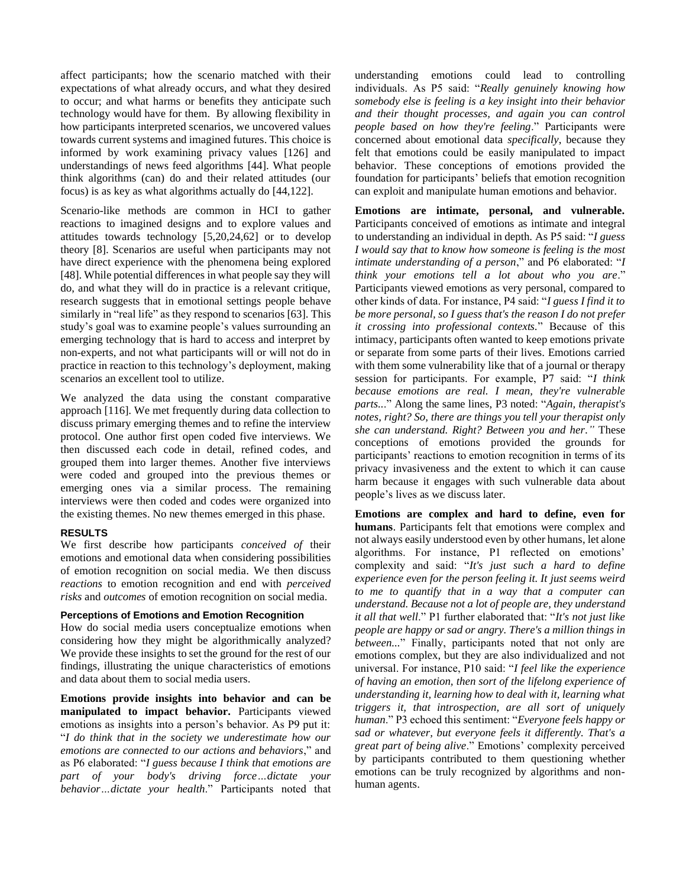affect participants; how the scenario matched with their expectations of what already occurs, and what they desired to occur; and what harms or benefits they anticipate such technology would have for them. By allowing flexibility in how participants interpreted scenarios, we uncovered values towards current systems and imagined futures. This choice is informed by work examining privacy values [126] and understandings of news feed algorithms [44]. What people think algorithms (can) do and their related attitudes (our focus) is as key as what algorithms actually do [44,122].

Scenario-like methods are common in HCI to gather reactions to imagined designs and to explore values and attitudes towards technology [5,20,24,62] or to develop theory [8]. Scenarios are useful when participants may not have direct experience with the phenomena being explored [48]. While potential differences in what people say they will do, and what they will do in practice is a relevant critique, research suggests that in emotional settings people behave similarly in "real life" as they respond to scenarios [63]. This study's goal was to examine people's values surrounding an emerging technology that is hard to access and interpret by non-experts, and not what participants will or will not do in practice in reaction to this technology's deployment, making scenarios an excellent tool to utilize.

We analyzed the data using the constant comparative approach [116]. We met frequently during data collection to discuss primary emerging themes and to refine the interview protocol. One author first open coded five interviews. We then discussed each code in detail, refined codes, and grouped them into larger themes. Another five interviews were coded and grouped into the previous themes or emerging ones via a similar process. The remaining interviews were then coded and codes were organized into the existing themes. No new themes emerged in this phase.

#### **RESULTS**

We first describe how participants *conceived of* their emotions and emotional data when considering possibilities of emotion recognition on social media. We then discuss *reactions* to emotion recognition and end with *perceived risks* and *outcomes* of emotion recognition on social media.

### **Perceptions of Emotions and Emotion Recognition**

How do social media users conceptualize emotions when considering how they might be algorithmically analyzed? We provide these insights to set the ground for the rest of our findings, illustrating the unique characteristics of emotions and data about them to social media users.

**Emotions provide insights into behavior and can be manipulated to impact behavior.** Participants viewed emotions as insights into a person's behavior. As P9 put it: "*I do think that in the society we underestimate how our emotions are connected to our actions and behaviors*," and as P6 elaborated: "*I guess because I think that emotions are part of your body's driving force…dictate your behavior…dictate your health*." Participants noted that understanding emotions could lead to controlling individuals. As P5 said: "*Really genuinely knowing how somebody else is feeling is a key insight into their behavior and their thought processes, and again you can control people based on how they're feeling*." Participants were concerned about emotional data *specifically*, because they felt that emotions could be easily manipulated to impact behavior. These conceptions of emotions provided the foundation for participants' beliefs that emotion recognition can exploit and manipulate human emotions and behavior.

**Emotions are intimate, personal, and vulnerable.**  Participants conceived of emotions as intimate and integral to understanding an individual in depth. As P5 said: "*I guess I would say that to know how someone is feeling is the most intimate understanding of a person*," and P6 elaborated: "*I think your emotions tell a lot about who you are*." Participants viewed emotions as very personal, compared to other kinds of data. For instance, P4 said: "*I guess I find it to be more personal, so I guess that's the reason I do not prefer it crossing into professional contexts.*" Because of this intimacy, participants often wanted to keep emotions private or separate from some parts of their lives. Emotions carried with them some vulnerability like that of a journal or therapy session for participants. For example, P7 said: "*I think because emotions are real. I mean, they're vulnerable parts..*." Along the same lines, P3 noted: "*Again, therapist's notes, right? So, there are things you tell your therapist only she can understand. Right? Between you and her."* These conceptions of emotions provided the grounds for participants' reactions to emotion recognition in terms of its privacy invasiveness and the extent to which it can cause harm because it engages with such vulnerable data about people's lives as we discuss later.

**Emotions are complex and hard to define, even for humans**. Participants felt that emotions were complex and not always easily understood even by other humans, let alone algorithms. For instance, P1 reflected on emotions' complexity and said: "*It's just such a hard to define experience even for the person feeling it. It just seems weird to me to quantify that in a way that a computer can understand. Because not a lot of people are, they understand it all that well*." P1 further elaborated that: "*It's not just like people are happy or sad or angry. There's a million things in between...*" Finally, participants noted that not only are emotions complex, but they are also individualized and not universal. For instance, P10 said: "*I feel like the experience of having an emotion, then sort of the lifelong experience of understanding it, learning how to deal with it, learning what triggers it, that introspection, are all sort of uniquely human*." P3 echoed this sentiment: "*Everyone feels happy or sad or whatever, but everyone feels it differently. That's a great part of being alive*." Emotions' complexity perceived by participants contributed to them questioning whether emotions can be truly recognized by algorithms and nonhuman agents.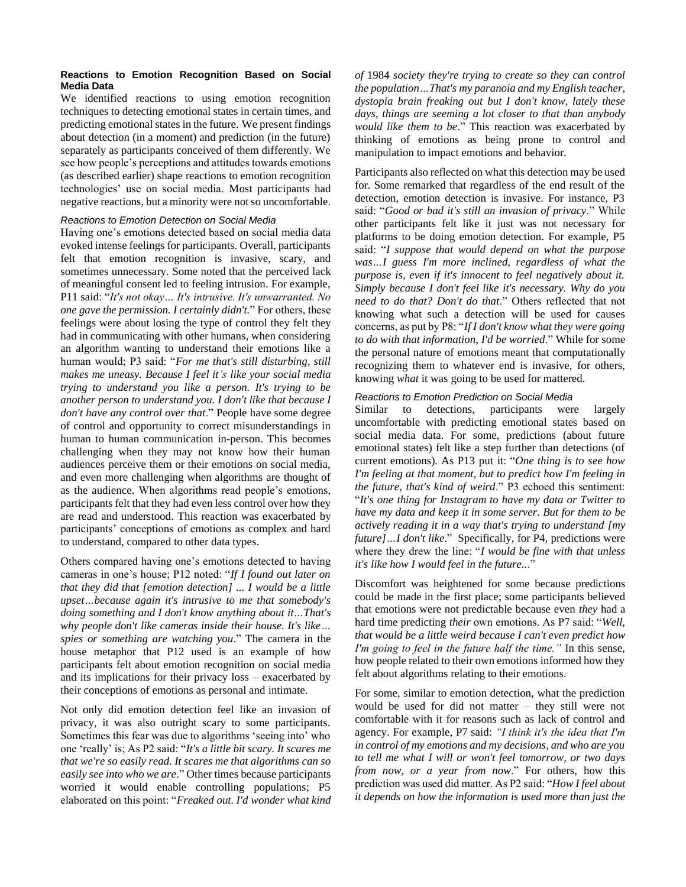### **Reactions to Emotion Recognition Based on Social Media Data**

We identified reactions to using emotion recognition techniques to detecting emotional states in certain times, and predicting emotional states in the future. We present findings about detection (in a moment) and prediction (in the future) separately as participants conceived of them differently. We see how people's perceptions and attitudes towards emotions (as described earlier) shape reactions to emotion recognition technologies' use on social media. Most participants had negative reactions, but a minority were not so uncomfortable.

## *Reactions to Emotion Detection on Social Media*

Having one's emotions detected based on social media data evoked intense feelings for participants. Overall, participants felt that emotion recognition is invasive, scary, and sometimes unnecessary. Some noted that the perceived lack of meaningful consent led to feeling intrusion. For example, P11 said: "*It's not okay… It's intrusive. It's unwarranted. No one gave the permission. I certainly didn't.*" For others, these feelings were about losing the type of control they felt they had in communicating with other humans, when considering an algorithm wanting to understand their emotions like a human would; P3 said: "*For me that's still disturbing, still makes me uneasy. Because I feel it's like your social media trying to understand you like a person. It's trying to be another person to understand you. I don't like that because I don't have any control over that*." People have some degree of control and opportunity to correct misunderstandings in human to human communication in-person. This becomes challenging when they may not know how their human audiences perceive them or their emotions on social media, and even more challenging when algorithms are thought of as the audience. When algorithms read people's emotions, participants felt that they had even less control over how they are read and understood. This reaction was exacerbated by participants' conceptions of emotions as complex and hard to understand, compared to other data types.

Others compared having one's emotions detected to having cameras in one's house; P12 noted: "*If I found out later on that they did that [emotion detection] ... I would be a little upset…because again it's intrusive to me that somebody's doing something and I don't know anything about it…That's why people don't like cameras inside their house. It's like… spies or something are watching you*." The camera in the house metaphor that P12 used is an example of how participants felt about emotion recognition on social media and its implications for their privacy loss – exacerbated by their conceptions of emotions as personal and intimate.

Not only did emotion detection feel like an invasion of privacy, it was also outright scary to some participants. Sometimes this fear was due to algorithms 'seeing into' who one 'really' is; As P2 said: "*It's a little bit scary. It scares me that we're so easily read. It scares me that algorithms can so easily see into who we are*." Other times because participants worried it would enable controlling populations; P5 elaborated on this point: "*Freaked out. I'd wonder what kind*  *of* 1984 *society they're trying to create so they can control the population…That's my paranoia and my English teacher, dystopia brain freaking out but I don't know, lately these days, things are seeming a lot closer to that than anybody would like them to be*." This reaction was exacerbated by thinking of emotions as being prone to control and manipulation to impact emotions and behavior.

Participants also reflected on what this detection may be used for. Some remarked that regardless of the end result of the detection, emotion detection is invasive. For instance, P3 said: "*Good or bad it's still an invasion of privacy*." While other participants felt like it just was not necessary for platforms to be doing emotion detection. For example, P5 said: "*I suppose that would depend on what the purpose was…I guess I'm more inclined, regardless of what the purpose is, even if it's innocent to feel negatively about it. Simply because I don't feel like it's necessary. Why do you need to do that? Don't do that*." Others reflected that not knowing what such a detection will be used for causes concerns, as put by P8: "*If I don't know what they were going to do with that information, I'd be worried*." While for some the personal nature of emotions meant that computationally recognizing them to whatever end is invasive, for others, knowing *what* it was going to be used for mattered.

#### *Reactions to Emotion Prediction on Social Media*

Similar to detections, participants were largely uncomfortable with predicting emotional states based on social media data. For some, predictions (about future emotional states) felt like a step further than detections (of current emotions). As P13 put it: "*One thing is to see how I'm feeling at that moment, but to predict how I'm feeling in the future, that's kind of weird*." P3 echoed this sentiment: "*It's one thing for Instagram to have my data or Twitter to have my data and keep it in some server. But for them to be actively reading it in a way that's trying to understand [my future]…I don't like*." Specifically, for P4, predictions were where they drew the line: "*I would be fine with that unless it's like how I would feel in the future..*."

Discomfort was heightened for some because predictions could be made in the first place; some participants believed that emotions were not predictable because even *they* had a hard time predicting *their* own emotions. As P7 said: "*Well, that would be a little weird because I can't even predict how I'm going to feel in the future half the time."* In this sense, how people related to their own emotions informed how they felt about algorithms relating to their emotions.

For some, similar to emotion detection, what the prediction would be used for did not matter – they still were not comfortable with it for reasons such as lack of control and agency. For example, P7 said: *"I think it's the idea that I'm in control of my emotions and my decisions, and who are you to tell me what I will or won't feel tomorrow, or two days from now, or a year from now*." For others, how this prediction was used did matter. As P2 said: "*How I feel about it depends on how the information is used more than just the*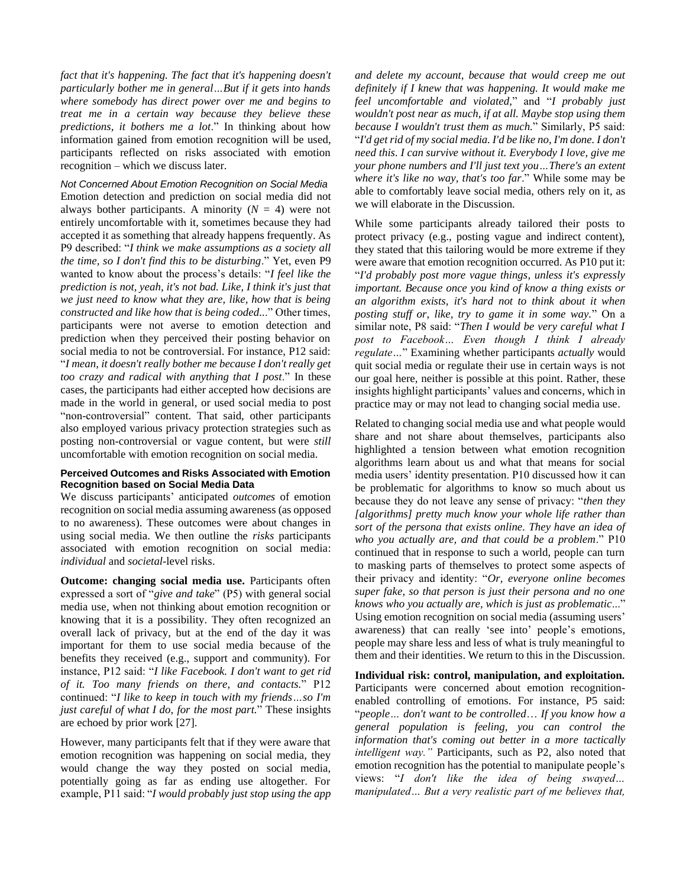*fact that it's happening. The fact that it's happening doesn't particularly bother me in general…But if it gets into hands where somebody has direct power over me and begins to treat me in a certain way because they believe these predictions, it bothers me a lot*." In thinking about how information gained from emotion recognition will be used, participants reflected on risks associated with emotion recognition – which we discuss later.

*Not Concerned About Emotion Recognition on Social Media* Emotion detection and prediction on social media did not always bother participants. A minority  $(N = 4)$  were not entirely uncomfortable with it, sometimes because they had accepted it as something that already happens frequently. As P9 described: "*I think we make assumptions as a society all the time, so I don't find this to be disturbing*." Yet, even P9 wanted to know about the process's details: "*I feel like the prediction is not, yeah, it's not bad. Like, I think it's just that we just need to know what they are, like, how that is being constructed and like how that is being coded..*." Other times, participants were not averse to emotion detection and prediction when they perceived their posting behavior on social media to not be controversial. For instance, P12 said: "*I mean, it doesn't really bother me because I don't really get too crazy and radical with anything that I post*." In these cases, the participants had either accepted how decisions are made in the world in general, or used social media to post "non-controversial" content. That said, other participants also employed various privacy protection strategies such as posting non-controversial or vague content, but were *still* uncomfortable with emotion recognition on social media.

### **Perceived Outcomes and Risks Associated with Emotion Recognition based on Social Media Data**

We discuss participants' anticipated *outcomes* of emotion recognition on social media assuming awareness (as opposed to no awareness). These outcomes were about changes in using social media. We then outline the *risks* participants associated with emotion recognition on social media: *individual* and *societal*-level risks.

**Outcome: changing social media use.** Participants often expressed a sort of "*give and take*" (P5) with general social media use, when not thinking about emotion recognition or knowing that it is a possibility. They often recognized an overall lack of privacy, but at the end of the day it was important for them to use social media because of the benefits they received (e.g., support and community). For instance, P12 said: "*I like Facebook. I don't want to get rid of it. Too many friends on there, and contacts.*" P12 continued: "*I like to keep in touch with my friends…so I'm just careful of what I do, for the most part.*" These insights are echoed by prior work [27].

However, many participants felt that if they were aware that emotion recognition was happening on social media, they would change the way they posted on social media, potentially going as far as ending use altogether. For example, P11 said: "*I would probably just stop using the app*

*and delete my account, because that would creep me out definitely if I knew that was happening. It would make me feel uncomfortable and violated,*" and "*I probably just wouldn't post near as much, if at all. Maybe stop using them because I wouldn't trust them as much.*" Similarly, P5 said: "*I'd get rid of my social media. I'd be like no, I'm done. I don't need this. I can survive without it. Everybody I love, give me your phone numbers and I'll just text you…There's an extent where it's like no way, that's too far*." While some may be able to comfortably leave social media, others rely on it, as we will elaborate in the Discussion.

While some participants already tailored their posts to protect privacy (e.g., posting vague and indirect content), they stated that this tailoring would be more extreme if they were aware that emotion recognition occurred. As P10 put it: "*I'd probably post more vague things, unless it's expressly important. Because once you kind of know a thing exists or an algorithm exists, it's hard not to think about it when posting stuff or, like, try to game it in some way.*" On a similar note, P8 said: "*Then I would be very careful what I post to Facebook… Even though I think I already regulate…*" Examining whether participants *actually* would quit social media or regulate their use in certain ways is not our goal here, neither is possible at this point. Rather, these insights highlight participants' values and concerns, which in practice may or may not lead to changing social media use.

Related to changing social media use and what people would share and not share about themselves, participants also highlighted a tension between what emotion recognition algorithms learn about us and what that means for social media users' identity presentation. P10 discussed how it can be problematic for algorithms to know so much about us because they do not leave any sense of privacy: "*then they [algorithms] pretty much know your whole life rather than sort of the persona that exists online. They have an idea of who you actually are, and that could be a problem*." P10 continued that in response to such a world, people can turn to masking parts of themselves to protect some aspects of their privacy and identity: "*Or, everyone online becomes super fake, so that person is just their persona and no one knows who you actually are, which is just as problematic*..." Using emotion recognition on social media (assuming users' awareness) that can really 'see into' people's emotions, people may share less and less of what is truly meaningful to them and their identities. We return to this in the Discussion.

**Individual risk: control, manipulation, and exploitation.** Participants were concerned about emotion recognitionenabled controlling of emotions. For instance, P5 said: "*people… don't want to be controlled*… *If you know how a general population is feeling, you can control the information that's coming out better in a more tactically intelligent way."* Participants, such as P2, also noted that emotion recognition has the potential to manipulate people's views: "*I don't like the idea of being swayed… manipulated… But a very realistic part of me believes that,*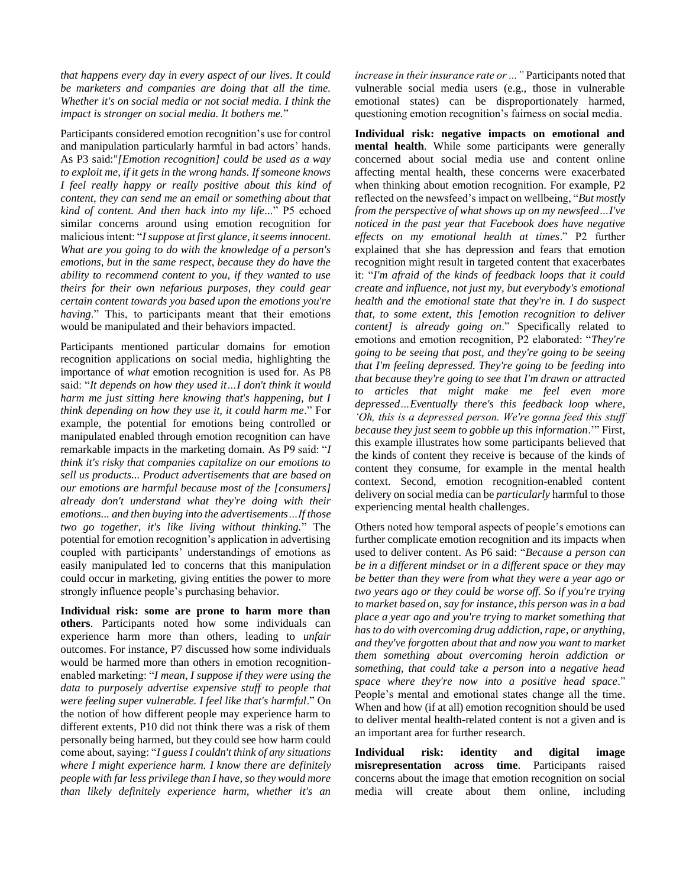*that happens every day in every aspect of our lives. It could be marketers and companies are doing that all the time. Whether it's on social media or not social media. I think the impact is stronger on social media. It bothers me.*"

Participants considered emotion recognition's use for control and manipulation particularly harmful in bad actors' hands. As P3 said:"*[Emotion recognition] could be used as a way to exploit me, if it gets in the wrong hands. If someone knows I feel really happy or really positive about this kind of content, they can send me an email or something about that kind of content. And then hack into my life...*" P5 echoed similar concerns around using emotion recognition for malicious intent: "*I suppose at first glance, it seems innocent. What are you going to do with the knowledge of a person's emotions, but in the same respect, because they do have the ability to recommend content to you, if they wanted to use theirs for their own nefarious purposes, they could gear certain content towards you based upon the emotions you're having*." This, to participants meant that their emotions would be manipulated and their behaviors impacted.

Participants mentioned particular domains for emotion recognition applications on social media, highlighting the importance of *what* emotion recognition is used for. As P8 said: "*It depends on how they used it…I don't think it would harm me just sitting here knowing that's happening, but I think depending on how they use it, it could harm me*." For example, the potential for emotions being controlled or manipulated enabled through emotion recognition can have remarkable impacts in the marketing domain. As P9 said: "*I think it's risky that companies capitalize on our emotions to sell us products... Product advertisements that are based on our emotions are harmful because most of the [consumers] already don't understand what they're doing with their emotions... and then buying into the advertisements…If those two go together, it's like living without thinking.*" The potential for emotion recognition's application in advertising coupled with participants' understandings of emotions as easily manipulated led to concerns that this manipulation could occur in marketing, giving entities the power to more strongly influence people's purchasing behavior.

**Individual risk: some are prone to harm more than others**. Participants noted how some individuals can experience harm more than others, leading to *unfair* outcomes. For instance, P7 discussed how some individuals would be harmed more than others in emotion recognitionenabled marketing: "*I mean, I suppose if they were using the data to purposely advertise expensive stuff to people that were feeling super vulnerable. I feel like that's harmful*." On the notion of how different people may experience harm to different extents, P10 did not think there was a risk of them personally being harmed, but they could see how harm could come about, saying: "*I guess I couldn't think of any situations where I might experience harm. I know there are definitely people with far less privilege than I have, so they would more than likely definitely experience harm, whether it's an* 

*increase in their insurance rate or ..."* Participants noted that vulnerable social media users (e.g., those in vulnerable emotional states) can be disproportionately harmed, questioning emotion recognition's fairness on social media.

**Individual risk: negative impacts on emotional and mental health**. While some participants were generally concerned about social media use and content online affecting mental health, these concerns were exacerbated when thinking about emotion recognition. For example, P2 reflected on the newsfeed's impact on wellbeing, "*But mostly from the perspective of what shows up on my newsfeed…I've noticed in the past year that Facebook does have negative effects on my emotional health at times*." P2 further explained that she has depression and fears that emotion recognition might result in targeted content that exacerbates it: "*I'm afraid of the kinds of feedback loops that it could create and influence, not just my, but everybody's emotional health and the emotional state that they're in. I do suspect that, to some extent, this [emotion recognition to deliver content] is already going on*." Specifically related to emotions and emotion recognition, P2 elaborated: "*They're going to be seeing that post, and they're going to be seeing that I'm feeling depressed. They're going to be feeding into that because they're going to see that I'm drawn or attracted to articles that might make me feel even more depressed…Eventually there's this feedback loop where, 'Oh, this is a depressed person. We're gonna feed this stuff because they just seem to gobble up this information*.'" First, this example illustrates how some participants believed that the kinds of content they receive is because of the kinds of content they consume, for example in the mental health context. Second, emotion recognition-enabled content delivery on social media can be *particularly* harmful to those experiencing mental health challenges.

Others noted how temporal aspects of people's emotions can further complicate emotion recognition and its impacts when used to deliver content. As P6 said: "*Because a person can be in a different mindset or in a different space or they may be better than they were from what they were a year ago or two years ago or they could be worse off. So if you're trying to market based on, say for instance, this person was in a bad place a year ago and you're trying to market something that has to do with overcoming drug addiction, rape, or anything, and they've forgotten about that and now you want to market them something about overcoming heroin addiction or something, that could take a person into a negative head space where they're now into a positive head space*." People's mental and emotional states change all the time. When and how (if at all) emotion recognition should be used to deliver mental health-related content is not a given and is an important area for further research.

**Individual risk: identity and digital image misrepresentation across time**. Participants raised concerns about the image that emotion recognition on social media will create about them online, including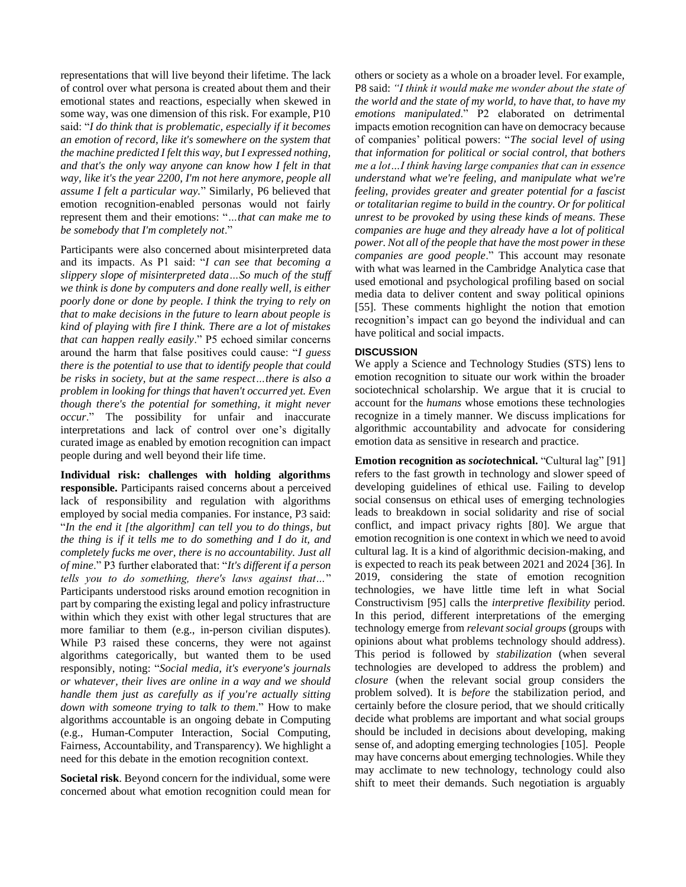representations that will live beyond their lifetime. The lack of control over what persona is created about them and their emotional states and reactions, especially when skewed in some way, was one dimension of this risk. For example, P10 said: "*I do think that is problematic, especially if it becomes an emotion of record, like it's somewhere on the system that the machine predicted I felt this way, but I expressed nothing, and that's the only way anyone can know how I felt in that way, like it's the year 2200, I'm not here anymore, people all assume I felt a particular way.*" Similarly, P6 believed that emotion recognition-enabled personas would not fairly represent them and their emotions: "*…that can make me to be somebody that I'm completely not*."

Participants were also concerned about misinterpreted data and its impacts. As P1 said: "*I can see that becoming a slippery slope of misinterpreted data…So much of the stuff we think is done by computers and done really well, is either poorly done or done by people. I think the trying to rely on that to make decisions in the future to learn about people is kind of playing with fire I think. There are a lot of mistakes that can happen really easily*." P5 echoed similar concerns around the harm that false positives could cause: "*I guess there is the potential to use that to identify people that could be risks in society, but at the same respect…there is also a problem in looking for things that haven't occurred yet. Even though there's the potential for something, it might never occur*." The possibility for unfair and inaccurate interpretations and lack of control over one's digitally curated image as enabled by emotion recognition can impact people during and well beyond their life time.

**Individual risk: challenges with holding algorithms responsible.** Participants raised concerns about a perceived lack of responsibility and regulation with algorithms employed by social media companies. For instance, P3 said: "*In the end it [the algorithm] can tell you to do things, but the thing is if it tells me to do something and I do it, and completely fucks me over, there is no accountability. Just all of mine*." P3 further elaborated that: "*It's different if a person tells you to do something, there's laws against that…*" Participants understood risks around emotion recognition in part by comparing the existing legal and policy infrastructure within which they exist with other legal structures that are more familiar to them (e.g., in-person civilian disputes). While P3 raised these concerns, they were not against algorithms categorically, but wanted them to be used responsibly, noting: "*Social media, it's everyone's journals or whatever, their lives are online in a way and we should handle them just as carefully as if you're actually sitting down with someone trying to talk to them*." How to make algorithms accountable is an ongoing debate in Computing (e.g., Human-Computer Interaction, Social Computing, Fairness, Accountability, and Transparency). We highlight a need for this debate in the emotion recognition context.

**Societal risk**. Beyond concern for the individual, some were concerned about what emotion recognition could mean for others or society as a whole on a broader level. For example, P8 said: *"I think it would make me wonder about the state of the world and the state of my world, to have that, to have my emotions manipulated*." P2 elaborated on detrimental impacts emotion recognition can have on democracy because of companies' political powers: "*The social level of using that information for political or social control, that bothers me a lot…I think having large companies that can in essence understand what we're feeling, and manipulate what we're feeling, provides greater and greater potential for a fascist or totalitarian regime to build in the country. Or for political unrest to be provoked by using these kinds of means. These companies are huge and they already have a lot of political power. Not all of the people that have the most power in these companies are good people*." This account may resonate with what was learned in the Cambridge Analytica case that used emotional and psychological profiling based on social media data to deliver content and sway political opinions [55]. These comments highlight the notion that emotion recognition's impact can go beyond the individual and can have political and social impacts.

# **DISCUSSION**

We apply a Science and Technology Studies (STS) lens to emotion recognition to situate our work within the broader sociotechnical scholarship. We argue that it is crucial to account for the *humans* whose emotions these technologies recognize in a timely manner. We discuss implications for algorithmic accountability and advocate for considering emotion data as sensitive in research and practice.

**Emotion recognition as** *socio***technical.** "Cultural lag" [91] refers to the fast growth in technology and slower speed of developing guidelines of ethical use. Failing to develop social consensus on ethical uses of emerging technologies leads to breakdown in social solidarity and rise of social conflict, and impact privacy rights [80]. We argue that emotion recognition is one context in which we need to avoid cultural lag. It is a kind of algorithmic decision-making, and is expected to reach its peak between 2021 and 2024 [36]. In 2019, considering the state of emotion recognition technologies, we have little time left in what Social Constructivism [95] calls the *interpretive flexibility* period. In this period, different interpretations of the emerging technology emerge from *relevant social groups* (groups with opinions about what problems technology should address). This period is followed by *stabilization* (when several technologies are developed to address the problem) and *closure* (when the relevant social group considers the problem solved). It is *before* the stabilization period, and certainly before the closure period, that we should critically decide what problems are important and what social groups should be included in decisions about developing, making sense of, and adopting emerging technologies [105]. People may have concerns about emerging technologies. While they may acclimate to new technology, technology could also shift to meet their demands. Such negotiation is arguably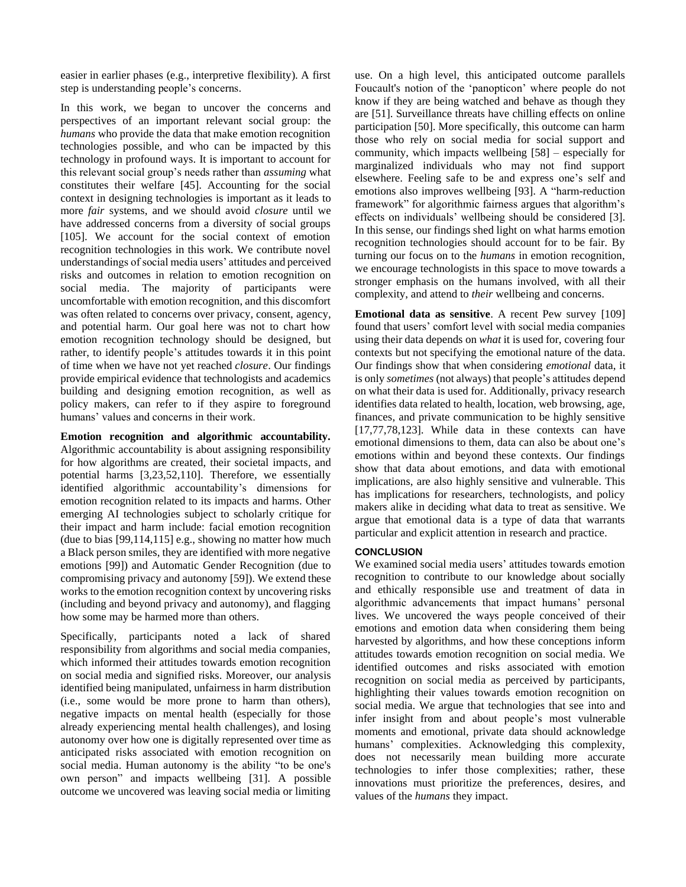easier in earlier phases (e.g., interpretive flexibility). A first step is understanding people's concerns.

In this work, we began to uncover the concerns and perspectives of an important relevant social group: the *humans* who provide the data that make emotion recognition technologies possible, and who can be impacted by this technology in profound ways. It is important to account for this relevant social group's needs rather than *assuming* what constitutes their welfare [45]. Accounting for the social context in designing technologies is important as it leads to more *fair* systems, and we should avoid *closure* until we have addressed concerns from a diversity of social groups [105]. We account for the social context of emotion recognition technologies in this work. We contribute novel understandings of social media users' attitudes and perceived risks and outcomes in relation to emotion recognition on social media. The majority of participants were uncomfortable with emotion recognition, and this discomfort was often related to concerns over privacy, consent, agency, and potential harm. Our goal here was not to chart how emotion recognition technology should be designed, but rather, to identify people's attitudes towards it in this point of time when we have not yet reached *closure*. Our findings provide empirical evidence that technologists and academics building and designing emotion recognition, as well as policy makers, can refer to if they aspire to foreground humans' values and concerns in their work.

**Emotion recognition and algorithmic accountability.** Algorithmic accountability is about assigning responsibility for how algorithms are created, their societal impacts, and potential harms [3,23,52,110]. Therefore, we essentially identified algorithmic accountability's dimensions for emotion recognition related to its impacts and harms. Other emerging AI technologies subject to scholarly critique for their impact and harm include: facial emotion recognition (due to bias [99,114,115] e.g., showing no matter how much a Black person smiles, they are identified with more negative emotions [99]) and Automatic Gender Recognition (due to compromising privacy and autonomy [59]). We extend these works to the emotion recognition context by uncovering risks (including and beyond privacy and autonomy), and flagging how some may be harmed more than others.

Specifically, participants noted a lack of shared responsibility from algorithms and social media companies, which informed their attitudes towards emotion recognition on social media and signified risks. Moreover, our analysis identified being manipulated, unfairness in harm distribution (i.e., some would be more prone to harm than others), negative impacts on mental health (especially for those already experiencing mental health challenges), and losing autonomy over how one is digitally represented over time as anticipated risks associated with emotion recognition on social media. Human autonomy is the ability "to be one's own person" and impacts wellbeing [31]. A possible outcome we uncovered was leaving social media or limiting

use. On a high level, this anticipated outcome parallels Foucault's notion of the 'panopticon' where people do not know if they are being watched and behave as though they are [51]. Surveillance threats have chilling effects on online participation [50]. More specifically, this outcome can harm those who rely on social media for social support and community, which impacts wellbeing [58] – especially for marginalized individuals who may not find support elsewhere. Feeling safe to be and express one's self and emotions also improves wellbeing [93]. A "harm-reduction framework" for algorithmic fairness argues that algorithm's effects on individuals' wellbeing should be considered [3]. In this sense, our findings shed light on what harms emotion recognition technologies should account for to be fair. By turning our focus on to the *humans* in emotion recognition, we encourage technologists in this space to move towards a stronger emphasis on the humans involved, with all their complexity, and attend to *their* wellbeing and concerns.

**Emotional data as sensitive**. A recent Pew survey [109] found that users' comfort level with social media companies using their data depends on *what* it is used for, covering four contexts but not specifying the emotional nature of the data. Our findings show that when considering *emotional* data, it is only *sometimes* (not always) that people's attitudes depend on what their data is used for. Additionally, privacy research identifies data related to health, location, web browsing, age, finances, and private communication to be highly sensitive [17,77,78,123]. While data in these contexts can have emotional dimensions to them, data can also be about one's emotions within and beyond these contexts. Our findings show that data about emotions, and data with emotional implications, are also highly sensitive and vulnerable. This has implications for researchers, technologists, and policy makers alike in deciding what data to treat as sensitive. We argue that emotional data is a type of data that warrants particular and explicit attention in research and practice.

### **CONCLUSION**

We examined social media users' attitudes towards emotion recognition to contribute to our knowledge about socially and ethically responsible use and treatment of data in algorithmic advancements that impact humans' personal lives. We uncovered the ways people conceived of their emotions and emotion data when considering them being harvested by algorithms, and how these conceptions inform attitudes towards emotion recognition on social media. We identified outcomes and risks associated with emotion recognition on social media as perceived by participants, highlighting their values towards emotion recognition on social media. We argue that technologies that see into and infer insight from and about people's most vulnerable moments and emotional, private data should acknowledge humans' complexities. Acknowledging this complexity, does not necessarily mean building more accurate technologies to infer those complexities; rather, these innovations must prioritize the preferences, desires, and values of the *humans* they impact.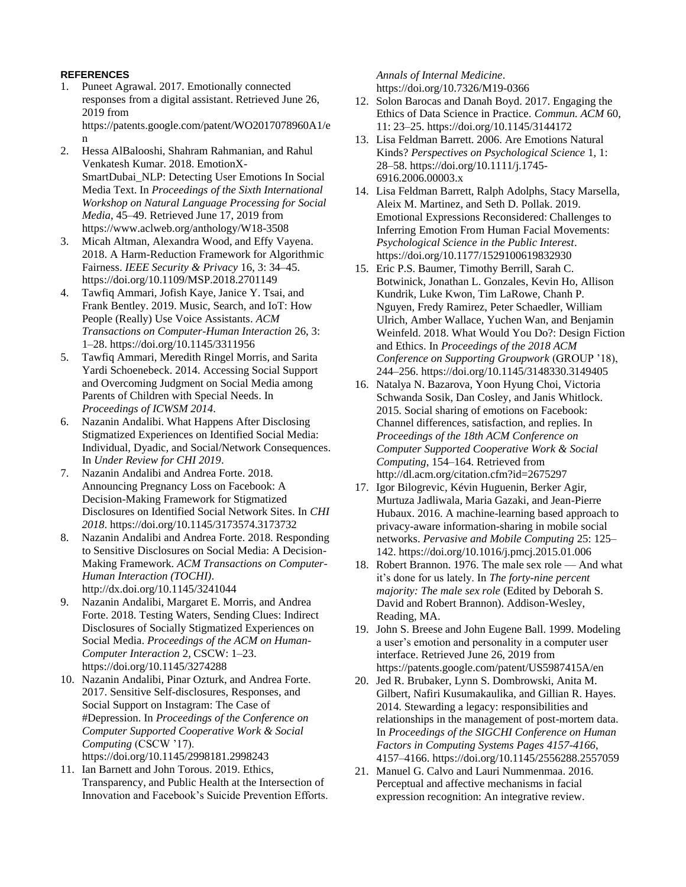# **REFERENCES**

- 1. Puneet Agrawal. 2017. Emotionally connected responses from a digital assistant. Retrieved June 26, 2019 from https://patents.google.com/patent/WO2017078960A1/e n
- 2. Hessa AlBalooshi, Shahram Rahmanian, and Rahul Venkatesh Kumar. 2018. EmotionX-SmartDubai\_NLP: Detecting User Emotions In Social Media Text. In *Proceedings of the Sixth International Workshop on Natural Language Processing for Social Media*, 45–49. Retrieved June 17, 2019 from https://www.aclweb.org/anthology/W18-3508
- 3. Micah Altman, Alexandra Wood, and Effy Vayena. 2018. A Harm-Reduction Framework for Algorithmic Fairness. *IEEE Security & Privacy* 16, 3: 34–45. https://doi.org/10.1109/MSP.2018.2701149
- 4. Tawfiq Ammari, Jofish Kaye, Janice Y. Tsai, and Frank Bentley. 2019. Music, Search, and IoT: How People (Really) Use Voice Assistants. *ACM Transactions on Computer-Human Interaction* 26, 3: 1–28. https://doi.org/10.1145/3311956
- 5. Tawfiq Ammari, Meredith Ringel Morris, and Sarita Yardi Schoenebeck. 2014. Accessing Social Support and Overcoming Judgment on Social Media among Parents of Children with Special Needs. In *Proceedings of ICWSM 2014*.
- 6. Nazanin Andalibi. What Happens After Disclosing Stigmatized Experiences on Identified Social Media: Individual, Dyadic, and Social/Network Consequences. In *Under Review for CHI 2019*.
- 7. Nazanin Andalibi and Andrea Forte. 2018. Announcing Pregnancy Loss on Facebook: A Decision-Making Framework for Stigmatized Disclosures on Identified Social Network Sites. In *CHI 2018*. https://doi.org/10.1145/3173574.3173732
- 8. Nazanin Andalibi and Andrea Forte. 2018. Responding to Sensitive Disclosures on Social Media: A Decision-Making Framework. *ACM Transactions on Computer-Human Interaction (TOCHI)*. http://dx.doi.org/10.1145/3241044
- 9. Nazanin Andalibi, Margaret E. Morris, and Andrea Forte. 2018. Testing Waters, Sending Clues: Indirect Disclosures of Socially Stigmatized Experiences on Social Media. *Proceedings of the ACM on Human-Computer Interaction* 2, CSCW: 1–23. https://doi.org/10.1145/3274288
- 10. Nazanin Andalibi, Pinar Ozturk, and Andrea Forte. 2017. Sensitive Self-disclosures, Responses, and Social Support on Instagram: The Case of #Depression. In *Proceedings of the Conference on Computer Supported Cooperative Work & Social Computing* (CSCW '17). https://doi.org/10.1145/2998181.2998243
- 11. Ian Barnett and John Torous. 2019. Ethics, Transparency, and Public Health at the Intersection of Innovation and Facebook's Suicide Prevention Efforts.

*Annals of Internal Medicine*. https://doi.org/10.7326/M19-0366

- 12. Solon Barocas and Danah Boyd. 2017. Engaging the Ethics of Data Science in Practice. *Commun. ACM* 60, 11: 23–25. https://doi.org/10.1145/3144172
- 13. Lisa Feldman Barrett. 2006. Are Emotions Natural Kinds? *Perspectives on Psychological Science* 1, 1: 28–58. https://doi.org/10.1111/j.1745- 6916.2006.00003.x
- 14. Lisa Feldman Barrett, Ralph Adolphs, Stacy Marsella, Aleix M. Martinez, and Seth D. Pollak. 2019. Emotional Expressions Reconsidered: Challenges to Inferring Emotion From Human Facial Movements: *Psychological Science in the Public Interest*. https://doi.org/10.1177/1529100619832930
- 15. Eric P.S. Baumer, Timothy Berrill, Sarah C. Botwinick, Jonathan L. Gonzales, Kevin Ho, Allison Kundrik, Luke Kwon, Tim LaRowe, Chanh P. Nguyen, Fredy Ramirez, Peter Schaedler, William Ulrich, Amber Wallace, Yuchen Wan, and Benjamin Weinfeld. 2018. What Would You Do?: Design Fiction and Ethics. In *Proceedings of the 2018 ACM Conference on Supporting Groupwork* (GROUP '18), 244–256. https://doi.org/10.1145/3148330.3149405
- 16. Natalya N. Bazarova, Yoon Hyung Choi, Victoria Schwanda Sosik, Dan Cosley, and Janis Whitlock. 2015. Social sharing of emotions on Facebook: Channel differences, satisfaction, and replies. In *Proceedings of the 18th ACM Conference on Computer Supported Cooperative Work & Social Computing*, 154–164. Retrieved from http://dl.acm.org/citation.cfm?id=2675297
- 17. Igor Bilogrevic, Kévin Huguenin, Berker Agir, Murtuza Jadliwala, Maria Gazaki, and Jean-Pierre Hubaux. 2016. A machine-learning based approach to privacy-aware information-sharing in mobile social networks. *Pervasive and Mobile Computing* 25: 125– 142. https://doi.org/10.1016/j.pmcj.2015.01.006
- 18. Robert Brannon. 1976. The male sex role And what it's done for us lately. In *The forty-nine percent majority: The male sex role* (Edited by Deborah S. David and Robert Brannon). Addison-Wesley, Reading, MA.
- 19. John S. Breese and John Eugene Ball. 1999. Modeling a user's emotion and personality in a computer user interface. Retrieved June 26, 2019 from https://patents.google.com/patent/US5987415A/en
- 20. Jed R. Brubaker, Lynn S. Dombrowski, Anita M. Gilbert, Nafiri Kusumakaulika, and Gillian R. Hayes. 2014. Stewarding a legacy: responsibilities and relationships in the management of post-mortem data. In *Proceedings of the SIGCHI Conference on Human Factors in Computing Systems Pages 4157-4166*, 4157–4166. https://doi.org/10.1145/2556288.2557059
- 21. Manuel G. Calvo and Lauri Nummenmaa. 2016. Perceptual and affective mechanisms in facial expression recognition: An integrative review.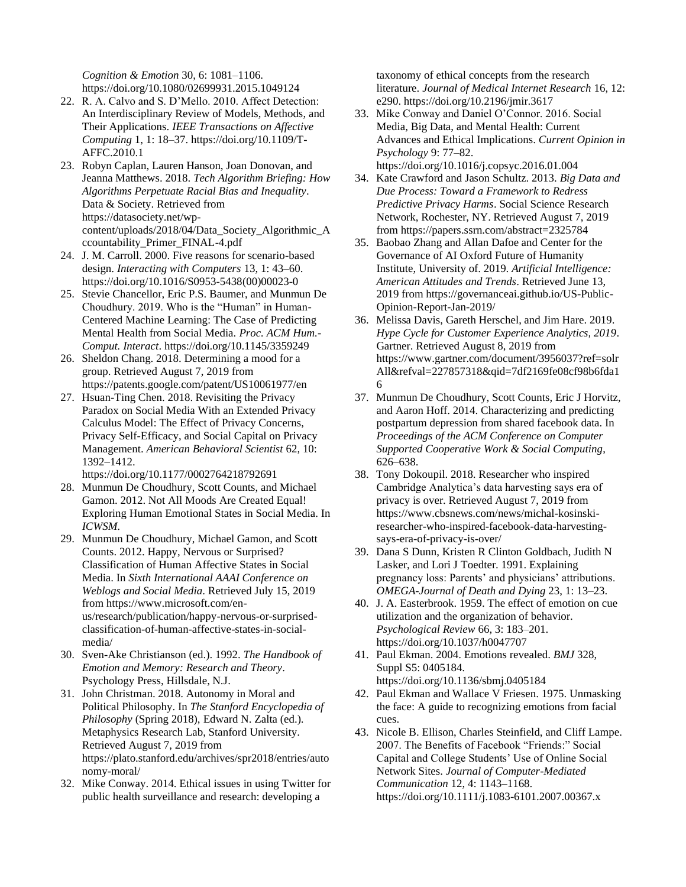*Cognition & Emotion* 30, 6: 1081–1106. https://doi.org/10.1080/02699931.2015.1049124

- 22. R. A. Calvo and S. D'Mello. 2010. Affect Detection: An Interdisciplinary Review of Models, Methods, and Their Applications. *IEEE Transactions on Affective Computing* 1, 1: 18–37. https://doi.org/10.1109/T-AFFC.2010.1
- 23. Robyn Caplan, Lauren Hanson, Joan Donovan, and Jeanna Matthews. 2018. *Tech Algorithm Briefing: How Algorithms Perpetuate Racial Bias and Inequality*. Data & Society. Retrieved from https://datasociety.net/wpcontent/uploads/2018/04/Data\_Society\_Algorithmic\_A ccountability\_Primer\_FINAL-4.pdf
- 24. J. M. Carroll. 2000. Five reasons for scenario-based design. *Interacting with Computers* 13, 1: 43–60. https://doi.org/10.1016/S0953-5438(00)00023-0
- 25. Stevie Chancellor, Eric P.S. Baumer, and Munmun De Choudhury. 2019. Who is the "Human" in Human-Centered Machine Learning: The Case of Predicting Mental Health from Social Media. *Proc. ACM Hum.- Comput. Interact*. https://doi.org/10.1145/3359249
- 26. Sheldon Chang. 2018. Determining a mood for a group. Retrieved August 7, 2019 from https://patents.google.com/patent/US10061977/en
- 27. Hsuan-Ting Chen. 2018. Revisiting the Privacy Paradox on Social Media With an Extended Privacy Calculus Model: The Effect of Privacy Concerns, Privacy Self-Efficacy, and Social Capital on Privacy Management. *American Behavioral Scientist* 62, 10: 1392–1412.

https://doi.org/10.1177/0002764218792691

- 28. Munmun De Choudhury, Scott Counts, and Michael Gamon. 2012. Not All Moods Are Created Equal! Exploring Human Emotional States in Social Media. In *ICWSM*.
- 29. Munmun De Choudhury, Michael Gamon, and Scott Counts. 2012. Happy, Nervous or Surprised? Classification of Human Affective States in Social Media. In *Sixth International AAAI Conference on Weblogs and Social Media*. Retrieved July 15, 2019 from https://www.microsoft.com/enus/research/publication/happy-nervous-or-surprisedclassification-of-human-affective-states-in-socialmedia/
- 30. Sven-Ake Christianson (ed.). 1992. *The Handbook of Emotion and Memory: Research and Theory*. Psychology Press, Hillsdale, N.J.
- 31. John Christman. 2018. Autonomy in Moral and Political Philosophy. In *The Stanford Encyclopedia of Philosophy* (Spring 2018), Edward N. Zalta (ed.). Metaphysics Research Lab, Stanford University. Retrieved August 7, 2019 from https://plato.stanford.edu/archives/spr2018/entries/auto nomy-moral/
- 32. Mike Conway. 2014. Ethical issues in using Twitter for public health surveillance and research: developing a

taxonomy of ethical concepts from the research literature. *Journal of Medical Internet Research* 16, 12: e290. https://doi.org/10.2196/jmir.3617

- 33. Mike Conway and Daniel O'Connor. 2016. Social Media, Big Data, and Mental Health: Current Advances and Ethical Implications. *Current Opinion in Psychology* 9: 77–82. https://doi.org/10.1016/j.copsyc.2016.01.004
- 34. Kate Crawford and Jason Schultz. 2013. *Big Data and Due Process: Toward a Framework to Redress Predictive Privacy Harms*. Social Science Research Network, Rochester, NY. Retrieved August 7, 2019 from https://papers.ssrn.com/abstract=2325784
- 35. Baobao Zhang and Allan Dafoe and Center for the Governance of AI Oxford Future of Humanity Institute, University of. 2019. *Artificial Intelligence: American Attitudes and Trends*. Retrieved June 13, 2019 from https://governanceai.github.io/US-Public-Opinion-Report-Jan-2019/
- 36. Melissa Davis, Gareth Herschel, and Jim Hare. 2019. *Hype Cycle for Customer Experience Analytics, 2019*. Gartner. Retrieved August 8, 2019 from https://www.gartner.com/document/3956037?ref=solr All&refval=227857318&qid=7df2169fe08cf98b6fda1 6
- 37. Munmun De Choudhury, Scott Counts, Eric J Horvitz, and Aaron Hoff. 2014. Characterizing and predicting postpartum depression from shared facebook data. In *Proceedings of the ACM Conference on Computer Supported Cooperative Work & Social Computing*, 626–638.
- 38. Tony Dokoupil. 2018. Researcher who inspired Cambridge Analytica's data harvesting says era of privacy is over. Retrieved August 7, 2019 from https://www.cbsnews.com/news/michal-kosinskiresearcher-who-inspired-facebook-data-harvestingsays-era-of-privacy-is-over/
- 39. Dana S Dunn, Kristen R Clinton Goldbach, Judith N Lasker, and Lori J Toedter. 1991. Explaining pregnancy loss: Parents' and physicians' attributions. *OMEGA-Journal of Death and Dying* 23, 1: 13–23.
- 40. J. A. Easterbrook. 1959. The effect of emotion on cue utilization and the organization of behavior. *Psychological Review* 66, 3: 183–201. https://doi.org/10.1037/h0047707
- 41. Paul Ekman. 2004. Emotions revealed. *BMJ* 328, Suppl S5: 0405184. https://doi.org/10.1136/sbmj.0405184
- 42. Paul Ekman and Wallace V Friesen. 1975. Unmasking the face: A guide to recognizing emotions from facial cues.
- 43. Nicole B. Ellison, Charles Steinfield, and Cliff Lampe. 2007. The Benefits of Facebook "Friends:" Social Capital and College Students' Use of Online Social Network Sites. *Journal of Computer-Mediated Communication* 12, 4: 1143–1168. https://doi.org/10.1111/j.1083-6101.2007.00367.x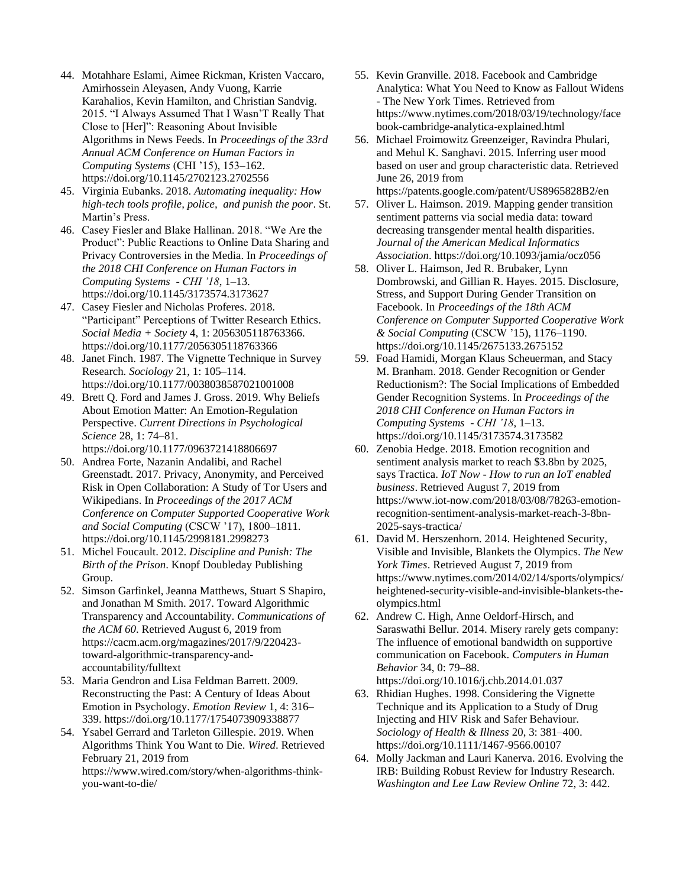- 44. Motahhare Eslami, Aimee Rickman, Kristen Vaccaro, Amirhossein Aleyasen, Andy Vuong, Karrie Karahalios, Kevin Hamilton, and Christian Sandvig. 2015. "I Always Assumed That I Wasn'T Really That Close to [Her]": Reasoning About Invisible Algorithms in News Feeds. In *Proceedings of the 33rd Annual ACM Conference on Human Factors in Computing Systems* (CHI '15), 153–162. https://doi.org/10.1145/2702123.2702556
- 45. Virginia Eubanks. 2018. *Automating inequality: How high-tech tools profile, police, and punish the poor*. St. Martin's Press.
- 46. Casey Fiesler and Blake Hallinan. 2018. "We Are the Product": Public Reactions to Online Data Sharing and Privacy Controversies in the Media. In *Proceedings of the 2018 CHI Conference on Human Factors in Computing Systems - CHI '18*, 1–13. https://doi.org/10.1145/3173574.3173627
- 47. Casey Fiesler and Nicholas Proferes. 2018. "Participant" Perceptions of Twitter Research Ethics. *Social Media + Society* 4, 1: 2056305118763366. https://doi.org/10.1177/2056305118763366
- 48. Janet Finch. 1987. The Vignette Technique in Survey Research. *Sociology* 21, 1: 105–114. https://doi.org/10.1177/0038038587021001008
- 49. Brett Q. Ford and James J. Gross. 2019. Why Beliefs About Emotion Matter: An Emotion-Regulation Perspective. *Current Directions in Psychological Science* 28, 1: 74–81.

https://doi.org/10.1177/0963721418806697

- 50. Andrea Forte, Nazanin Andalibi, and Rachel Greenstadt. 2017. Privacy, Anonymity, and Perceived Risk in Open Collaboration: A Study of Tor Users and Wikipedians. In *Proceedings of the 2017 ACM Conference on Computer Supported Cooperative Work and Social Computing* (CSCW '17), 1800–1811. https://doi.org/10.1145/2998181.2998273
- 51. Michel Foucault. 2012. *Discipline and Punish: The Birth of the Prison*. Knopf Doubleday Publishing Group.
- 52. Simson Garfinkel, Jeanna Matthews, Stuart S Shapiro, and Jonathan M Smith. 2017. Toward Algorithmic Transparency and Accountability. *Communications of the ACM 60*. Retrieved August 6, 2019 from https://cacm.acm.org/magazines/2017/9/220423 toward-algorithmic-transparency-andaccountability/fulltext
- 53. Maria Gendron and Lisa Feldman Barrett. 2009. Reconstructing the Past: A Century of Ideas About Emotion in Psychology. *Emotion Review* 1, 4: 316– 339. https://doi.org/10.1177/1754073909338877
- 54. Ysabel Gerrard and Tarleton Gillespie. 2019. When Algorithms Think You Want to Die. *Wired*. Retrieved February 21, 2019 from https://www.wired.com/story/when-algorithms-thinkyou-want-to-die/
- 55. Kevin Granville. 2018. Facebook and Cambridge Analytica: What You Need to Know as Fallout Widens - The New York Times. Retrieved from https://www.nytimes.com/2018/03/19/technology/face book-cambridge-analytica-explained.html
- 56. Michael Froimowitz Greenzeiger, Ravindra Phulari, and Mehul K. Sanghavi. 2015. Inferring user mood based on user and group characteristic data. Retrieved June 26, 2019 from https://patents.google.com/patent/US8965828B2/en
- 57. Oliver L. Haimson. 2019. Mapping gender transition sentiment patterns via social media data: toward decreasing transgender mental health disparities. *Journal of the American Medical Informatics Association*. https://doi.org/10.1093/jamia/ocz056
- 58. Oliver L. Haimson, Jed R. Brubaker, Lynn Dombrowski, and Gillian R. Hayes. 2015. Disclosure, Stress, and Support During Gender Transition on Facebook. In *Proceedings of the 18th ACM Conference on Computer Supported Cooperative Work & Social Computing* (CSCW '15), 1176–1190. https://doi.org/10.1145/2675133.2675152
- 59. Foad Hamidi, Morgan Klaus Scheuerman, and Stacy M. Branham. 2018. Gender Recognition or Gender Reductionism?: The Social Implications of Embedded Gender Recognition Systems. In *Proceedings of the 2018 CHI Conference on Human Factors in Computing Systems - CHI '18*, 1–13. https://doi.org/10.1145/3173574.3173582
- 60. Zenobia Hedge. 2018. Emotion recognition and sentiment analysis market to reach \$3.8bn by 2025, says Tractica. *IoT Now - How to run an IoT enabled business*. Retrieved August 7, 2019 from https://www.iot-now.com/2018/03/08/78263-emotionrecognition-sentiment-analysis-market-reach-3-8bn-2025-says-tractica/
- 61. David M. Herszenhorn. 2014. Heightened Security, Visible and Invisible, Blankets the Olympics. *The New York Times*. Retrieved August 7, 2019 from https://www.nytimes.com/2014/02/14/sports/olympics/ heightened-security-visible-and-invisible-blankets-theolympics.html
- 62. Andrew C. High, Anne Oeldorf-Hirsch, and Saraswathi Bellur. 2014. Misery rarely gets company: The influence of emotional bandwidth on supportive communication on Facebook. *Computers in Human Behavior* 34, 0: 79–88. https://doi.org/10.1016/j.chb.2014.01.037
- 63. Rhidian Hughes. 1998. Considering the Vignette Technique and its Application to a Study of Drug Injecting and HIV Risk and Safer Behaviour. *Sociology of Health & Illness* 20, 3: 381–400. https://doi.org/10.1111/1467-9566.00107
- 64. Molly Jackman and Lauri Kanerva. 2016. Evolving the IRB: Building Robust Review for Industry Research. *Washington and Lee Law Review Online* 72, 3: 442.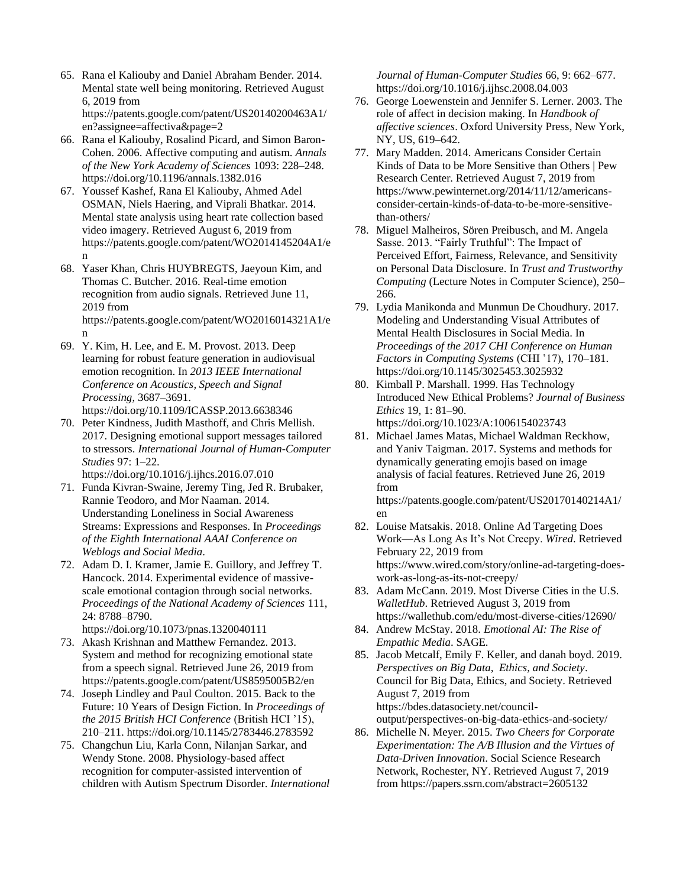- 65. Rana el Kaliouby and Daniel Abraham Bender. 2014. Mental state well being monitoring. Retrieved August 6, 2019 from https://patents.google.com/patent/US20140200463A1/ en?assignee=affectiva&page=2
- 66. Rana el Kaliouby, Rosalind Picard, and Simon Baron-Cohen. 2006. Affective computing and autism. *Annals of the New York Academy of Sciences* 1093: 228–248. https://doi.org/10.1196/annals.1382.016
- 67. Youssef Kashef, Rana El Kaliouby, Ahmed Adel OSMAN, Niels Haering, and Viprali Bhatkar. 2014. Mental state analysis using heart rate collection based video imagery. Retrieved August 6, 2019 from https://patents.google.com/patent/WO2014145204A1/e n
- 68. Yaser Khan, Chris HUYBREGTS, Jaeyoun Kim, and Thomas C. Butcher. 2016. Real-time emotion recognition from audio signals. Retrieved June 11, 2019 from https://patents.google.com/patent/WO2016014321A1/e n
- 69. Y. Kim, H. Lee, and E. M. Provost. 2013. Deep learning for robust feature generation in audiovisual emotion recognition. In *2013 IEEE International Conference on Acoustics, Speech and Signal Processing*, 3687–3691. https://doi.org/10.1109/ICASSP.2013.6638346
- 70. Peter Kindness, Judith Masthoff, and Chris Mellish. 2017. Designing emotional support messages tailored to stressors. *International Journal of Human-Computer Studies* 97: 1–22.

https://doi.org/10.1016/j.ijhcs.2016.07.010

- 71. Funda Kivran-Swaine, Jeremy Ting, Jed R. Brubaker, Rannie Teodoro, and Mor Naaman. 2014. Understanding Loneliness in Social Awareness Streams: Expressions and Responses. In *Proceedings of the Eighth International AAAI Conference on Weblogs and Social Media*.
- 72. Adam D. I. Kramer, Jamie E. Guillory, and Jeffrey T. Hancock. 2014. Experimental evidence of massivescale emotional contagion through social networks. *Proceedings of the National Academy of Sciences* 111, 24: 8788–8790.

https://doi.org/10.1073/pnas.1320040111

- 73. Akash Krishnan and Matthew Fernandez. 2013. System and method for recognizing emotional state from a speech signal. Retrieved June 26, 2019 from https://patents.google.com/patent/US8595005B2/en
- 74. Joseph Lindley and Paul Coulton. 2015. Back to the Future: 10 Years of Design Fiction. In *Proceedings of the 2015 British HCI Conference* (British HCI '15), 210–211. https://doi.org/10.1145/2783446.2783592
- 75. Changchun Liu, Karla Conn, Nilanjan Sarkar, and Wendy Stone. 2008. Physiology-based affect recognition for computer-assisted intervention of children with Autism Spectrum Disorder. *International*

*Journal of Human-Computer Studies* 66, 9: 662–677. https://doi.org/10.1016/j.ijhsc.2008.04.003

- 76. George Loewenstein and Jennifer S. Lerner. 2003. The role of affect in decision making. In *Handbook of affective sciences*. Oxford University Press, New York, NY, US, 619–642.
- 77. Mary Madden. 2014. Americans Consider Certain Kinds of Data to be More Sensitive than Others | Pew Research Center. Retrieved August 7, 2019 from https://www.pewinternet.org/2014/11/12/americansconsider-certain-kinds-of-data-to-be-more-sensitivethan-others/
- 78. Miguel Malheiros, Sören Preibusch, and M. Angela Sasse. 2013. "Fairly Truthful": The Impact of Perceived Effort, Fairness, Relevance, and Sensitivity on Personal Data Disclosure. In *Trust and Trustworthy Computing* (Lecture Notes in Computer Science), 250– 266.
- 79. Lydia Manikonda and Munmun De Choudhury. 2017. Modeling and Understanding Visual Attributes of Mental Health Disclosures in Social Media. In *Proceedings of the 2017 CHI Conference on Human Factors in Computing Systems* (CHI '17), 170–181. https://doi.org/10.1145/3025453.3025932
- 80. Kimball P. Marshall. 1999. Has Technology Introduced New Ethical Problems? *Journal of Business Ethics* 19, 1: 81–90. https://doi.org/10.1023/A:1006154023743
- 81. Michael James Matas, Michael Waldman Reckhow, and Yaniv Taigman. 2017. Systems and methods for dynamically generating emojis based on image analysis of facial features. Retrieved June 26, 2019 from

https://patents.google.com/patent/US20170140214A1/ en

- 82. Louise Matsakis. 2018. Online Ad Targeting Does Work—As Long As It's Not Creepy. *Wired*. Retrieved February 22, 2019 from https://www.wired.com/story/online-ad-targeting-doeswork-as-long-as-its-not-creepy/
- 83. Adam McCann. 2019. Most Diverse Cities in the U.S. *WalletHub*. Retrieved August 3, 2019 from https://wallethub.com/edu/most-diverse-cities/12690/
- 84. Andrew McStay. 2018. *Emotional AI: The Rise of Empathic Media*. SAGE.
- 85. Jacob Metcalf, Emily F. Keller, and danah boyd. 2019. *Perspectives on Big Data, Ethics, and Society*. Council for Big Data, Ethics, and Society. Retrieved August 7, 2019 from https://bdes.datasociety.net/counciloutput/perspectives-on-big-data-ethics-and-society/
- 86. Michelle N. Meyer. 2015. *Two Cheers for Corporate Experimentation: The A/B Illusion and the Virtues of Data-Driven Innovation*. Social Science Research Network, Rochester, NY. Retrieved August 7, 2019 from https://papers.ssrn.com/abstract=2605132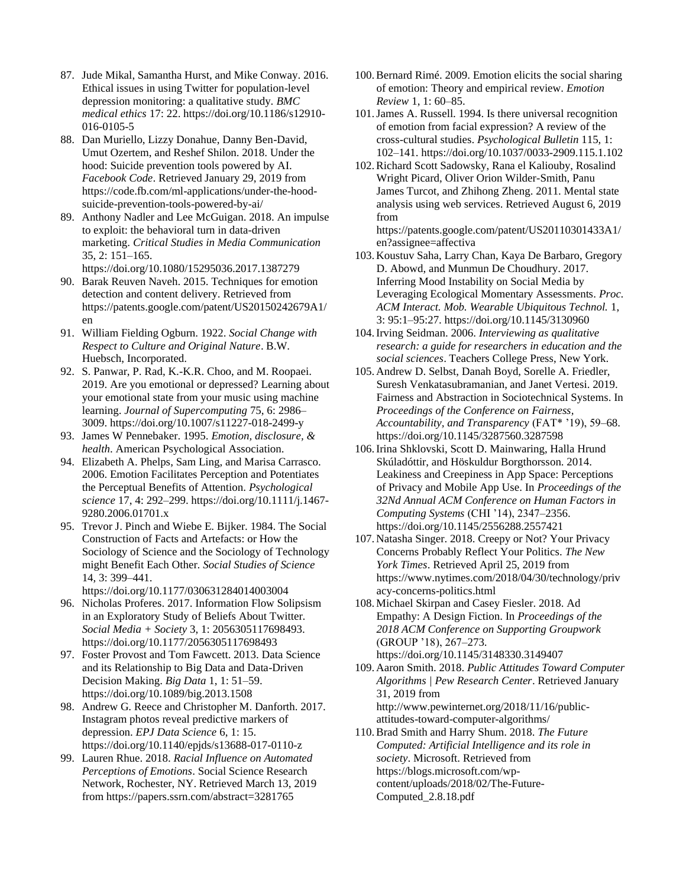- 87. Jude Mikal, Samantha Hurst, and Mike Conway. 2016. Ethical issues in using Twitter for population-level depression monitoring: a qualitative study. *BMC medical ethics* 17: 22. https://doi.org/10.1186/s12910- 016-0105-5
- 88. Dan Muriello, Lizzy Donahue, Danny Ben-David, Umut Ozertem, and Reshef Shilon. 2018. Under the hood: Suicide prevention tools powered by AI. *Facebook Code*. Retrieved January 29, 2019 from https://code.fb.com/ml-applications/under-the-hoodsuicide-prevention-tools-powered-by-ai/
- 89. Anthony Nadler and Lee McGuigan. 2018. An impulse to exploit: the behavioral turn in data-driven marketing. *Critical Studies in Media Communication* 35, 2: 151–165. https://doi.org/10.1080/15295036.2017.1387279
- 90. Barak Reuven Naveh. 2015. Techniques for emotion detection and content delivery. Retrieved from https://patents.google.com/patent/US20150242679A1/ en
- 91. William Fielding Ogburn. 1922. *Social Change with Respect to Culture and Original Nature*. B.W. Huebsch, Incorporated.
- 92. S. Panwar, P. Rad, K.-K.R. Choo, and M. Roopaei. 2019. Are you emotional or depressed? Learning about your emotional state from your music using machine learning. *Journal of Supercomputing* 75, 6: 2986– 3009. https://doi.org/10.1007/s11227-018-2499-y
- 93. James W Pennebaker. 1995. *Emotion, disclosure, & health*. American Psychological Association.
- 94. Elizabeth A. Phelps, Sam Ling, and Marisa Carrasco. 2006. Emotion Facilitates Perception and Potentiates the Perceptual Benefits of Attention. *Psychological science* 17, 4: 292–299. https://doi.org/10.1111/j.1467- 9280.2006.01701.x
- 95. Trevor J. Pinch and Wiebe E. Bijker. 1984. The Social Construction of Facts and Artefacts: or How the Sociology of Science and the Sociology of Technology might Benefit Each Other. *Social Studies of Science* 14, 3: 399–441.
	- https://doi.org/10.1177/030631284014003004
- 96. Nicholas Proferes. 2017. Information Flow Solipsism in an Exploratory Study of Beliefs About Twitter. *Social Media + Society* 3, 1: 2056305117698493. https://doi.org/10.1177/2056305117698493
- 97. Foster Provost and Tom Fawcett. 2013. Data Science and its Relationship to Big Data and Data-Driven Decision Making. *Big Data* 1, 1: 51–59. https://doi.org/10.1089/big.2013.1508
- 98. Andrew G. Reece and Christopher M. Danforth. 2017. Instagram photos reveal predictive markers of depression. *EPJ Data Science* 6, 1: 15. https://doi.org/10.1140/epjds/s13688-017-0110-z
- 99. Lauren Rhue. 2018. *Racial Influence on Automated Perceptions of Emotions*. Social Science Research Network, Rochester, NY. Retrieved March 13, 2019 from https://papers.ssrn.com/abstract=3281765
- 100.Bernard Rimé. 2009. Emotion elicits the social sharing of emotion: Theory and empirical review. *Emotion Review* 1, 1: 60–85.
- 101.James A. Russell. 1994. Is there universal recognition of emotion from facial expression? A review of the cross-cultural studies. *Psychological Bulletin* 115, 1: 102–141. https://doi.org/10.1037/0033-2909.115.1.102
- 102.Richard Scott Sadowsky, Rana el Kaliouby, Rosalind Wright Picard, Oliver Orion Wilder-Smith, Panu James Turcot, and Zhihong Zheng. 2011. Mental state analysis using web services. Retrieved August 6, 2019 from

https://patents.google.com/patent/US20110301433A1/ en?assignee=affectiva

- 103. Koustuv Saha, Larry Chan, Kaya De Barbaro, Gregory D. Abowd, and Munmun De Choudhury. 2017. Inferring Mood Instability on Social Media by Leveraging Ecological Momentary Assessments. *Proc. ACM Interact. Mob. Wearable Ubiquitous Technol.* 1, 3: 95:1–95:27. https://doi.org/10.1145/3130960
- 104.Irving Seidman. 2006. *Interviewing as qualitative research: a guide for researchers in education and the social sciences*. Teachers College Press, New York.
- 105. Andrew D. Selbst, Danah Boyd, Sorelle A. Friedler, Suresh Venkatasubramanian, and Janet Vertesi. 2019. Fairness and Abstraction in Sociotechnical Systems. In *Proceedings of the Conference on Fairness, Accountability, and Transparency* (FAT\* '19), 59–68. https://doi.org/10.1145/3287560.3287598
- 106.Irina Shklovski, Scott D. Mainwaring, Halla Hrund Skúladóttir, and Höskuldur Borgthorsson. 2014. Leakiness and Creepiness in App Space: Perceptions of Privacy and Mobile App Use. In *Proceedings of the 32Nd Annual ACM Conference on Human Factors in Computing Systems* (CHI '14), 2347–2356. https://doi.org/10.1145/2556288.2557421
- 107. Natasha Singer. 2018. Creepy or Not? Your Privacy Concerns Probably Reflect Your Politics. *The New York Times*. Retrieved April 25, 2019 from https://www.nytimes.com/2018/04/30/technology/priv acy-concerns-politics.html
- 108. Michael Skirpan and Casey Fiesler. 2018. Ad Empathy: A Design Fiction. In *Proceedings of the 2018 ACM Conference on Supporting Groupwork* (GROUP '18), 267–273. https://doi.org/10.1145/3148330.3149407
- 109. Aaron Smith. 2018. *Public Attitudes Toward Computer Algorithms | Pew Research Center*. Retrieved January 31, 2019 from http://www.pewinternet.org/2018/11/16/publicattitudes-toward-computer-algorithms/
- 110.Brad Smith and Harry Shum. 2018. *The Future Computed: Artificial Intelligence and its role in society*. Microsoft. Retrieved from https://blogs.microsoft.com/wpcontent/uploads/2018/02/The-Future-Computed\_2.8.18.pdf